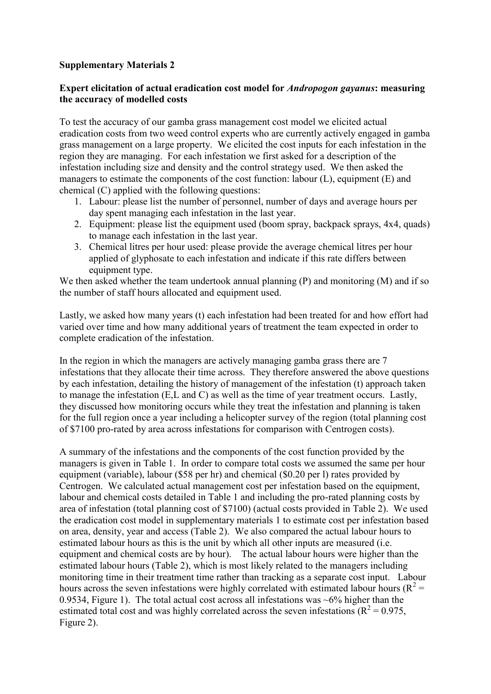## **Supplementary Materials 2**

## **Expert elicitation of actual eradication cost model for** *Andropogon gayanus***: measuring the accuracy of modelled costs**

To test the accuracy of our gamba grass management cost model we elicited actual eradication costs from two weed control experts who are currently actively engaged in gamba grass management on a large property. We elicited the cost inputs for each infestation in the region they are managing. For each infestation we first asked for a description of the infestation including size and density and the control strategy used. We then asked the managers to estimate the components of the cost function: labour (L), equipment (E) and chemical (C) applied with the following questions:

- 1. Labour: please list the number of personnel, number of days and average hours per day spent managing each infestation in the last year.
- 2. Equipment: please list the equipment used (boom spray, backpack sprays, 4x4, quads) to manage each infestation in the last year.
- 3. Chemical litres per hour used: please provide the average chemical litres per hour applied of glyphosate to each infestation and indicate if this rate differs between equipment type.

We then asked whether the team undertook annual planning (P) and monitoring (M) and if so the number of staff hours allocated and equipment used.

Lastly, we asked how many years (t) each infestation had been treated for and how effort had varied over time and how many additional years of treatment the team expected in order to complete eradication of the infestation.

In the region in which the managers are actively managing gamba grass there are 7 infestations that they allocate their time across. They therefore answered the above questions by each infestation, detailing the history of management of the infestation (t) approach taken to manage the infestation (E,L and C) as well as the time of year treatment occurs. Lastly, they discussed how monitoring occurs while they treat the infestation and planning is taken for the full region once a year including a helicopter survey of the region (total planning cost of \$7100 pro-rated by area across infestations for comparison with Centrogen costs).

A summary of the infestations and the components of the cost function provided by the managers is given in Table 1. In order to compare total costs we assumed the same per hour equipment (variable), labour (\$58 per hr) and chemical (\$0.20 per l) rates provided by Centrogen. We calculated actual management cost per infestation based on the equipment, labour and chemical costs detailed in Table 1 and including the pro-rated planning costs by area of infestation (total planning cost of \$7100) (actual costs provided in Table 2). We used the eradication cost model in supplementary materials 1 to estimate cost per infestation based on area, density, year and access (Table 2). We also compared the actual labour hours to estimated labour hours as this is the unit by which all other inputs are measured (i.e. equipment and chemical costs are by hour). The actual labour hours were higher than the estimated labour hours (Table 2), which is most likely related to the managers including monitoring time in their treatment time rather than tracking as a separate cost input. Labour hours across the seven infestations were highly correlated with estimated labour hours ( $R^2$  = 0.9534, Figure 1). The total actual cost across all infestations was  $\sim 6\%$  higher than the estimated total cost and was highly correlated across the seven infestations ( $R^2 = 0.975$ , Figure 2).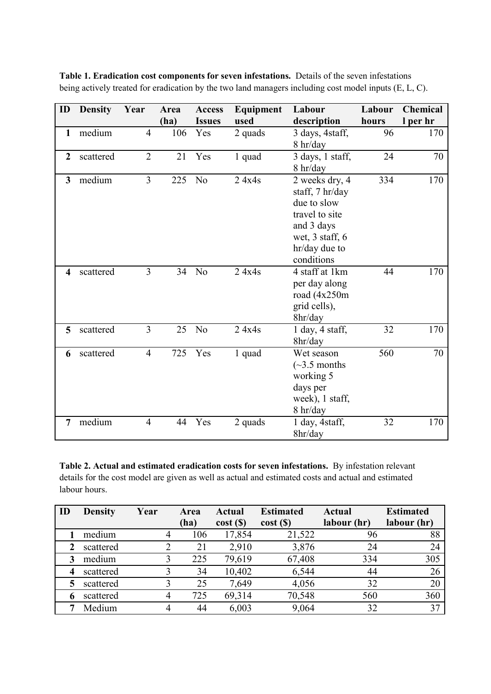| ID             | <b>Density</b> | Year           | Area | <b>Access</b>  | Equipment | Labour              | Labour | <b>Chemical</b> |
|----------------|----------------|----------------|------|----------------|-----------|---------------------|--------|-----------------|
|                |                |                | (ha) | <b>Issues</b>  | used      | description         | hours  | l per hr        |
| $\mathbf{1}$   | medium         | $\overline{4}$ | 106  | Yes            | 2 quads   | 3 days, 4staff,     | 96     | 170             |
|                |                |                |      |                |           | 8 hr/day            |        |                 |
| $\overline{2}$ | scattered      | $\overline{2}$ | 21   | Yes            | 1 quad    | 3 days, 1 staff,    | 24     | 70              |
|                |                |                |      |                |           | 8 hr/day            |        |                 |
| 3              | medium         | $\overline{3}$ | 225  | N <sub>o</sub> | 24x4s     | 2 weeks dry, 4      | 334    | 170             |
|                |                |                |      |                |           | staff, 7 hr/day     |        |                 |
|                |                |                |      |                |           | due to slow         |        |                 |
|                |                |                |      |                |           | travel to site      |        |                 |
|                |                |                |      |                |           | and 3 days          |        |                 |
|                |                |                |      |                |           | wet, 3 staff, 6     |        |                 |
|                |                |                |      |                |           | hr/day due to       |        |                 |
|                |                |                |      |                |           | conditions          |        |                 |
| 4              | scattered      | $\overline{3}$ | 34   | N <sub>o</sub> | 24x4s     | 4 staff at 1km      | 44     | 170             |
|                |                |                |      |                |           | per day along       |        |                 |
|                |                |                |      |                |           | road (4x250m        |        |                 |
|                |                |                |      |                |           | grid cells),        |        |                 |
|                |                |                |      |                |           | 8hr/day             |        |                 |
| 5              | scattered      | $\overline{3}$ | 25   | N <sub>o</sub> | 24x4s     | $1$ day, $4$ staff, | 32     | 170             |
|                |                |                |      |                |           | 8hr/day             |        |                 |
| 6              | scattered      | $\overline{4}$ | 725  | Yes            | 1 quad    | Wet season          | 560    | 70              |
|                |                |                |      |                |           | $(\sim]3.5$ months  |        |                 |
|                |                |                |      |                |           | working 5           |        |                 |
|                |                |                |      |                |           | days per            |        |                 |
|                |                |                |      |                |           | week), 1 staff,     |        |                 |
|                |                |                |      |                |           | 8 hr/day            |        |                 |
| 7              | medium         | $\overline{4}$ | 44   | Yes            | 2 quads   | 1 day, 4staff,      | 32     | 170             |
|                |                |                |      |                |           | 8hr/day             |        |                 |

**Table 1. Eradication cost components for seven infestations.** Details of the seven infestations being actively treated for eradication by the two land managers including cost model inputs (E, L, C).

**Table 2. Actual and estimated eradication costs for seven infestations.** By infestation relevant details for the cost model are given as well as actual and estimated costs and actual and estimated labour hours.

| ID | <b>Density</b> | Year | Area | Actual               | <b>Estimated</b> | <b>Actual</b> | <b>Estimated</b> |
|----|----------------|------|------|----------------------|------------------|---------------|------------------|
|    |                |      | (ha) | cost( <sub>s</sub> ) | cost(S)          | labour (hr)   | labour (hr)      |
|    | medium         | 4    | 106  | 17,854               | 21,522           | 96            | 88               |
|    | scattered      |      | 21   | 2,910                | 3,876            | 24            | 24               |
|    | medium         |      | 225  | 79,619               | 67,408           | 334           | 305              |
|    | scattered      |      | 34   | 10,402               | 6,544            | 44            | 26               |
|    | scattered      |      | 25   | 7,649                | 4,056            | 32            | 20               |
|    | scattered      | 4    | 725  | 69,314               | 70,548           | 560           | 360              |
|    | Medium         |      | 44   | 6,003                | 9,064            | 32            | 37               |